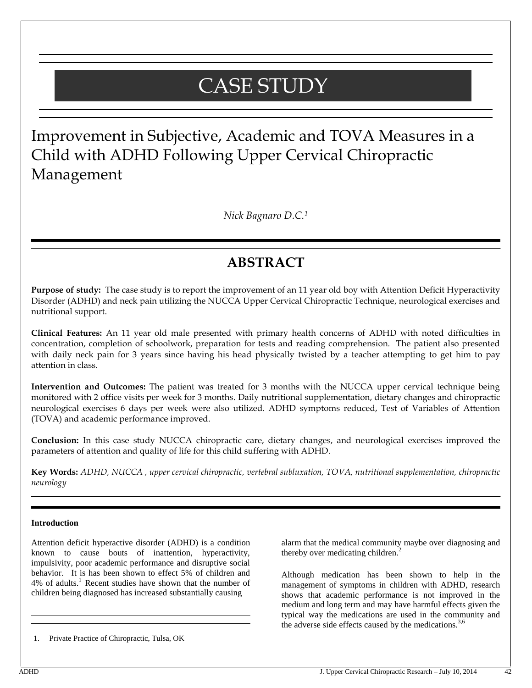# CASE STUDY

Improvement in Subjective, Academic and TOVA Measures in a Child with ADHD Following Upper Cervical Chiropractic Management

*Nick Bagnaro D.C.<sup>1</sup>*

## **ABSTRACT**

**Purpose of study:** The case study is to report the improvement of an 11 year old boy with Attention Deficit Hyperactivity Disorder (ADHD) and neck pain utilizing the NUCCA Upper Cervical Chiropractic Technique, neurological exercises and nutritional support.

**Clinical Features:** An 11 year old male presented with primary health concerns of ADHD with noted difficulties in concentration, completion of schoolwork, preparation for tests and reading comprehension. The patient also presented with daily neck pain for 3 years since having his head physically twisted by a teacher attempting to get him to pay attention in class.

**Intervention and Outcomes:** The patient was treated for 3 months with the NUCCA upper cervical technique being monitored with 2 office visits per week for 3 months. Daily nutritional supplementation, dietary changes and chiropractic neurological exercises 6 days per week were also utilized. ADHD symptoms reduced, Test of Variables of Attention (TOVA) and academic performance improved.

**Conclusion:** In this case study NUCCA chiropractic care, dietary changes, and neurological exercises improved the parameters of attention and quality of life for this child suffering with ADHD.

**Key Words:** *ADHD, NUCCA , upper cervical chiropractic, vertebral subluxation, TOVA, nutritional supplementation, chiropractic neurology*

#### **Introduction**

Attention deficit hyperactive disorder (ADHD) is a condition known to cause bouts of inattention, hyperactivity, impulsivity, poor academic performance and disruptive social behavior. It is has been shown to effect 5% of children and 4% of adults.<sup>1</sup> Recent studies have shown that the number of children being diagnosed has increased substantially causing

1. Private Practice of Chiropractic, Tulsa, OK

alarm that the medical community maybe over diagnosing and thereby over medicating children.<sup>2</sup>

Although medication has been shown to help in the management of symptoms in children with ADHD, research shows that academic performance is not improved in the medium and long term and may have harmful effects given the typical way the medications are used in the community and the adverse side effects caused by the medications. $3,6$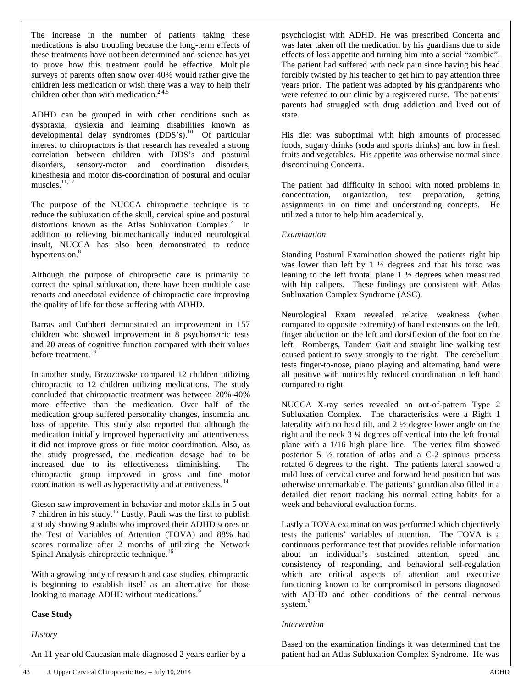The increase in the number of patients taking these medications is also troubling because the long-term effects of these treatments have not been determined and science has yet to prove how this treatment could be effective. Multiple surveys of parents often show over 40% would rather give the children less medication or wish there was a way to help their children other than with medication. $2,4,5$ 

ADHD can be grouped in with other conditions such as dyspraxia, dyslexia and learning disabilities known as developmental delay syndromes  $(DDS's)$ .<sup>10</sup> Of particular interest to chiropractors is that research has revealed a strong correlation between children with DDS's and postural disorders, sensory-motor and coordination disorders, kinesthesia and motor dis-coordination of postural and ocular muscles.<sup>11,12</sup>

The purpose of the NUCCA chiropractic technique is to reduce the subluxation of the skull, cervical spine and postural distortions known as the Atlas Subluxation Complex.<sup>7</sup> In addition to relieving biomechanically induced neurological insult, NUCCA has also been demonstrated to reduce hypertension.<sup>8</sup>

Although the purpose of chiropractic care is primarily to correct the spinal subluxation, there have been multiple case reports and anecdotal evidence of chiropractic care improving the quality of life for those suffering with ADHD.

Barras and Cuthbert demonstrated an improvement in 157 children who showed improvement in 8 psychometric tests and 20 areas of cognitive function compared with their values before treatment.<sup>13</sup>

In another study, Brzozowske compared 12 children utilizing chiropractic to 12 children utilizing medications. The study concluded that chiropractic treatment was between 20%-40% more effective than the medication. Over half of the medication group suffered personality changes, insomnia and loss of appetite. This study also reported that although the medication initially improved hyperactivity and attentiveness, it did not improve gross or fine motor coordination. Also, as the study progressed, the medication dosage had to be increased due to its effectiveness diminishing. The chiropractic group improved in gross and fine motor coordination as well as hyperactivity and attentiveness.<sup>14</sup>

Giesen saw improvement in behavior and motor skills in 5 out 7 children in his study.<sup>15</sup> Lastly, Pauli was the first to publish a study showing 9 adults who improved their ADHD scores on the Test of Variables of Attention (TOVA) and 88% had scores normalize after 2 months of utilizing the Network Spinal Analysis chiropractic technique.<sup>16</sup>

With a growing body of research and case studies, chiropractic is beginning to establish itself as an alternative for those looking to manage ADHD without medications.<sup>9</sup>

#### **Case Study**

*History*

An 11 year old Caucasian male diagnosed 2 years earlier by a

psychologist with ADHD. He was prescribed Concerta and was later taken off the medication by his guardians due to side effects of loss appetite and turning him into a social "zombie". The patient had suffered with neck pain since having his head forcibly twisted by his teacher to get him to pay attention three years prior. The patient was adopted by his grandparents who were referred to our clinic by a registered nurse. The patients' parents had struggled with drug addiction and lived out of state.

His diet was suboptimal with high amounts of processed foods, sugary drinks (soda and sports drinks) and low in fresh fruits and vegetables. His appetite was otherwise normal since discontinuing Concerta.

The patient had difficulty in school with noted problems in concentration, organization, test preparation, getting assignments in on time and understanding concepts. He utilized a tutor to help him academically.

#### *Examination*

Standing Postural Examination showed the patients right hip was lower than left by  $1 \frac{1}{2}$  degrees and that his torso was leaning to the left frontal plane 1 ½ degrees when measured with hip calipers. These findings are consistent with Atlas Subluxation Complex Syndrome (ASC).

Neurological Exam revealed relative weakness (when compared to opposite extremity) of hand extensors on the left, finger abduction on the left and dorsiflexion of the foot on the left. Rombergs, Tandem Gait and straight line walking test caused patient to sway strongly to the right. The cerebellum tests finger-to-nose, piano playing and alternating hand were all positive with noticeably reduced coordination in left hand compared to right.

NUCCA X-ray series revealed an out-of-pattern Type 2 Subluxation Complex. The characteristics were a Right 1 laterality with no head tilt, and 2 ½ degree lower angle on the right and the neck 3 ¼ degrees off vertical into the left frontal plane with a 1/16 high plane line. The vertex film showed posterior  $5\frac{1}{2}$  rotation of atlas and a C-2 spinous process rotated 6 degrees to the right. The patients lateral showed a mild loss of cervical curve and forward head position but was otherwise unremarkable. The patients' guardian also filled in a detailed diet report tracking his normal eating habits for a week and behavioral evaluation forms.

Lastly a TOVA examination was performed which objectively tests the patients' variables of attention. The TOVA is a continuous performance test that provides reliable information about an individual's sustained attention, speed and consistency of responding, and behavioral self-regulation which are critical aspects of attention and executive functioning known to be compromised in persons diagnosed with ADHD and other conditions of the central nervous system.<sup>9</sup>

#### *Intervention*

Based on the examination findings it was determined that the patient had an Atlas Subluxation Complex Syndrome. He was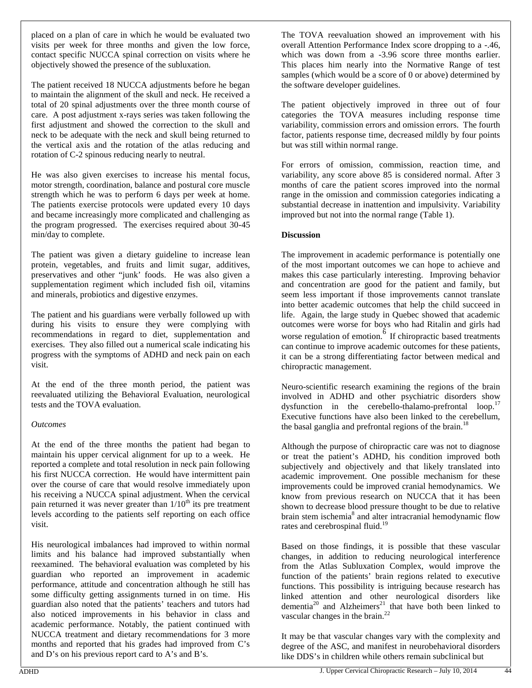placed on a plan of care in which he would be evaluated two visits per week for three months and given the low force, contact specific NUCCA spinal correction on visits where he objectively showed the presence of the subluxation.

The patient received 18 NUCCA adjustments before he began to maintain the alignment of the skull and neck. He received a total of 20 spinal adjustments over the three month course of care. A post adjustment x-rays series was taken following the first adjustment and showed the correction to the skull and neck to be adequate with the neck and skull being returned to the vertical axis and the rotation of the atlas reducing and rotation of C-2 spinous reducing nearly to neutral.

He was also given exercises to increase his mental focus, motor strength, coordination, balance and postural core muscle strength which he was to perform 6 days per week at home. The patients exercise protocols were updated every 10 days and became increasingly more complicated and challenging as the program progressed. The exercises required about 30-45 min/day to complete.

The patient was given a dietary guideline to increase lean protein, vegetables, and fruits and limit sugar, additives, preservatives and other "junk' foods. He was also given a supplementation regiment which included fish oil, vitamins and minerals, probiotics and digestive enzymes.

The patient and his guardians were verbally followed up with during his visits to ensure they were complying with recommendations in regard to diet, supplementation and exercises. They also filled out a numerical scale indicating his progress with the symptoms of ADHD and neck pain on each visit.

At the end of the three month period, the patient was reevaluated utilizing the Behavioral Evaluation, neurological tests and the TOVA evaluation.

#### *Outcomes*

At the end of the three months the patient had began to maintain his upper cervical alignment for up to a week. He reported a complete and total resolution in neck pain following his first NUCCA correction. He would have intermittent pain over the course of care that would resolve immediately upon his receiving a NUCCA spinal adjustment. When the cervical pain returned it was never greater than  $1/10<sup>th</sup>$  its pre treatment levels according to the patients self reporting on each office visit.

His neurological imbalances had improved to within normal limits and his balance had improved substantially when reexamined. The behavioral evaluation was completed by his guardian who reported an improvement in academic performance, attitude and concentration although he still has some difficulty getting assignments turned in on time. His guardian also noted that the patients' teachers and tutors had also noticed improvements in his behavior in class and academic performance. Notably, the patient continued with NUCCA treatment and dietary recommendations for 3 more months and reported that his grades had improved from C's and D's on his previous report card to A's and B's.

The TOVA reevaluation showed an improvement with his overall Attention Performance Index score dropping to a -.46, which was down from a -3.96 score three months earlier. This places him nearly into the Normative Range of test samples (which would be a score of 0 or above) determined by the software developer guidelines.

The patient objectively improved in three out of four categories the TOVA measures including response time variability, commission errors and omission errors. The fourth factor, patients response time, decreased mildly by four points but was still within normal range.

For errors of omission, commission, reaction time, and variability, any score above 85 is considered normal. After 3 months of care the patient scores improved into the normal range in the omission and commission categories indicating a substantial decrease in inattention and impulsivity. Variability improved but not into the normal range (Table 1).

### **Discussion**

The improvement in academic performance is potentially one of the most important outcomes we can hope to achieve and makes this case particularly interesting. Improving behavior and concentration are good for the patient and family, but seem less important if those improvements cannot translate into better academic outcomes that help the child succeed in life. Again, the large study in Quebec showed that academic outcomes were worse for boys who had Ritalin and girls had worse regulation of emotion.  $\overrightarrow{6}$  If chiropractic based treatments can continue to improve academic outcomes for these patients, it can be a strong differentiating factor between medical and chiropractic management.

Neuro-scientific research examining the regions of the brain involved in ADHD and other psychiatric disorders show dysfunction in the cerebello-thalamo-prefrontal loop.<sup>17</sup> Executive functions have also been linked to the cerebellum, the basal ganglia and prefrontal regions of the brain.<sup>18</sup>

Although the purpose of chiropractic care was not to diagnose or treat the patient's ADHD, his condition improved both subjectively and objectively and that likely translated into academic improvement. One possible mechanism for these improvements could be improved cranial hemodynamics. We know from previous research on NUCCA that it has been shown to decrease blood pressure thought to be due to relative brain stem ischemia<sup>8</sup> and alter intracranial hemodynamic flow rates and cerebrospinal fluid.<sup>19</sup>

Based on those findings, it is possible that these vascular changes, in addition to reducing neurological interference from the Atlas Subluxation Complex, would improve the function of the patients' brain regions related to executive functions. This possibility is intriguing because research has linked attention and other neurological disorders like  $d$ dementia<sup>20</sup> and Alzheimers<sup>21</sup> that have both been linked to vascular changes in the brain.<sup>22</sup>

It may be that vascular changes vary with the complexity and degree of the ASC, and manifest in neurobehavioral disorders like DDS's in children while others remain subclinical but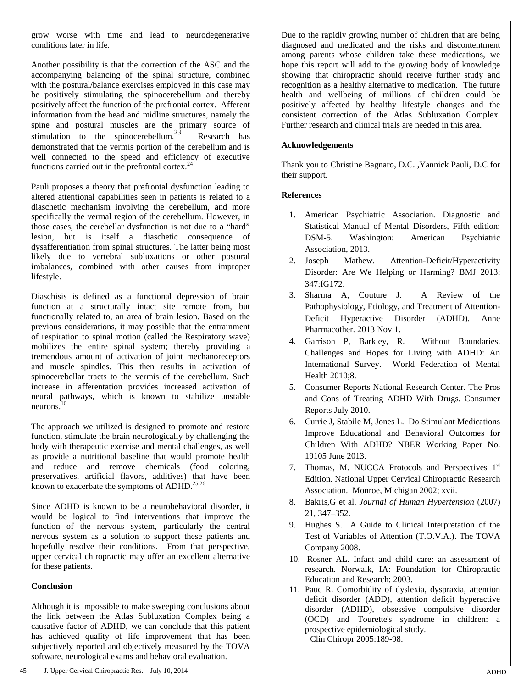grow worse with time and lead to neurodegenerative conditions later in life.

Another possibility is that the correction of the ASC and the accompanying balancing of the spinal structure, combined with the postural/balance exercises employed in this case may be positively stimulating the spinocerebellum and thereby positively affect the function of the prefrontal cortex. Afferent information from the head and midline structures, namely the spine and postural muscles are the primary source of stimulation to the spinocerebellum.<sup>23</sup> Research has demonstrated that the vermis portion of the cerebellum and is well connected to the speed and efficiency of executive functions carried out in the prefrontal cortex. $^{24}$ 

Pauli proposes a theory that prefrontal dysfunction leading to altered attentional capabilities seen in patients is related to a diaschetic mechanism involving the cerebellum, and more specifically the vermal region of the cerebellum. However, in those cases, the cerebellar dysfunction is not due to a "hard" lesion, but is itself a diaschetic consequence of dysafferentiation from spinal structures. The latter being most likely due to vertebral subluxations or other postural imbalances, combined with other causes from improper lifestyle.

Diaschisis is defined as a functional depression of brain function at a structurally intact site remote from, but functionally related to, an area of brain lesion. Based on the previous considerations, it may possible that the entrainment of respiration to spinal motion (called the Respiratory wave) mobilizes the entire spinal system; thereby providing a tremendous amount of activation of joint mechanoreceptors and muscle spindles. This then results in activation of spinocerebellar tracts to the vermis of the cerebellum. Such increase in afferentation provides increased activation of neural pathways, which is known to stabilize unstable neurons.<sup>16</sup>

The approach we utilized is designed to promote and restore function, stimulate the brain neurologically by challenging the body with therapeutic exercise and mental challenges, as well as provide a nutritional baseline that would promote health and reduce and remove chemicals (food coloring, preservatives, artificial flavors, additives) that have been known to exacerbate the symptoms of ADHD.<sup>25,26</sup>

Since ADHD is known to be a neurobehavioral disorder, it would be logical to find interventions that improve the function of the nervous system, particularly the central nervous system as a solution to support these patients and hopefully resolve their conditions. From that perspective, upper cervical chiropractic may offer an excellent alternative for these patients.

#### **Conclusion**

Although it is impossible to make sweeping conclusions about the link between the Atlas Subluxation Complex being a causative factor of ADHD, we can conclude that this patient has achieved quality of life improvement that has been subjectively reported and objectively measured by the TOVA software, neurological exams and behavioral evaluation.

#### **Acknowledgements**

Thank you to Christine Bagnaro, D.C. ,Yannick Pauli, D.C for their support.

#### **References**

- 1. American Psychiatric Association. Diagnostic and Statistical Manual of Mental Disorders, Fifth edition: DSM-5. Washington: American Psychiatric Association, 2013.
- 2. Joseph Mathew. Attention-Deficit/Hyperactivity Disorder: Are We Helping or Harming? BMJ 2013; 347:fG172.
- 3. Sharma A, Couture J. A Review of the Pathophysiology, Etiology, and Treatment of Attention- Deficit Hyperactive Disorder (ADHD). Anne Pharmacother. 2013 Nov 1.
- 4. Garrison P, Barkley, R. Without Boundaries. Challenges and Hopes for Living with ADHD: An International Survey. World Federation of Mental Health 2010;8.
- 5. Consumer Reports National Research Center. The Pros and Cons of Treating ADHD With Drugs. Consumer Reports July 2010.
- 6. Currie J, Stabile M, Jones L. Do Stimulant Medications Improve Educational and Behavioral Outcomes for Children With ADHD? NBER Working Paper No. 19105 June 2013.
- 7. Thomas, M. NUCCA Protocols and Perspectives 1st Edition. National Upper Cervical Chiropractic Research Association. Monroe, Michigan 2002; xvii.
- 8. Bakris,G et al. *Journal of Human Hypertension* (2007) 21, 347–352.
- 9. Hughes S. A Guide to Clinical Interpretation of the Test of Variables of Attention (T.O.V.A.). The TOVA Company 2008.
- 10. Rosner AL. Infant and child care: an assessment of research. Norwalk, IA: Foundation for Chiropractic Education and Research; 2003.
- 11. Pauc R. Comorbidity of dyslexia, dyspraxia, attention deficit disorder (ADD), attention deficit hyperactive disorder (ADHD), obsessive compulsive disorder (OCD) and Tourette's syndrome in children: a prospective epidemiological study. Clin Chiropr 2005:189-98.